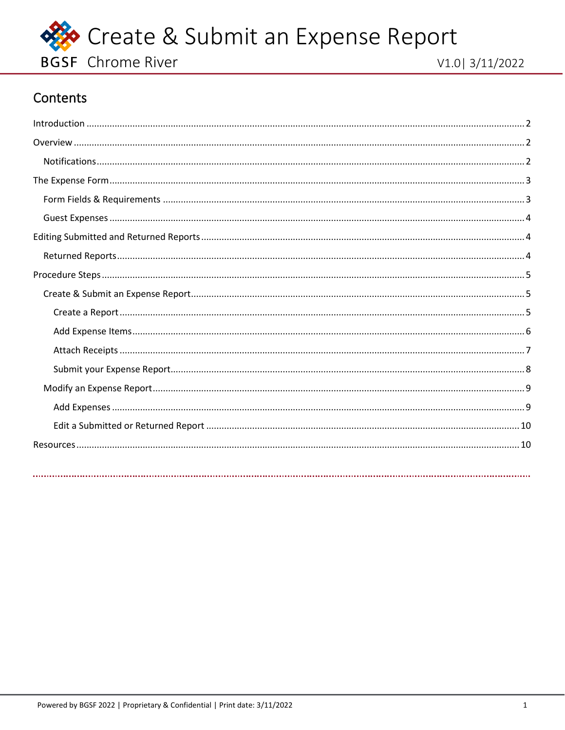

## Contents

<span id="page-0-0"></span>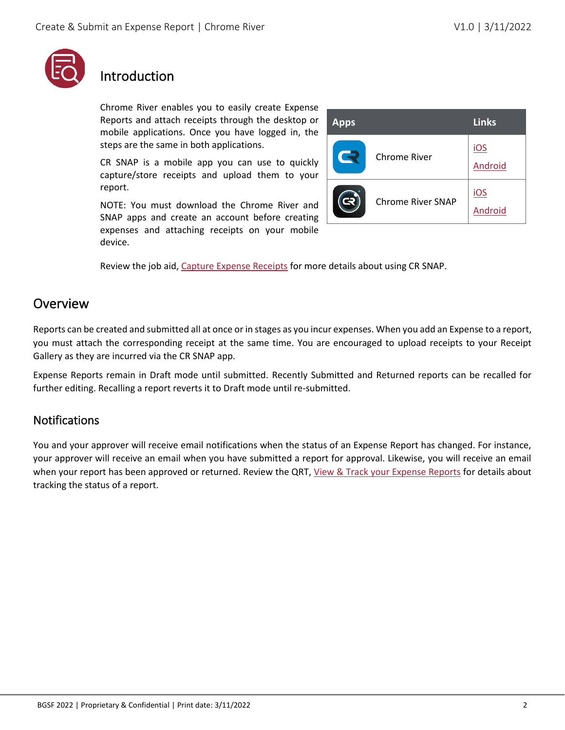

# <span id="page-1-0"></span>Introduction

Chrome River enables you to easily create Expense Reports and attach receipts through the desktop or mobile applications. Once you have logged in, the steps are the same in both applications.

CR SNAP is a mobile app you can use to quickly capture/store receipts and upload them to your report.

NOTE: You must download the Chrome River and SNAP apps and create an account before creating expenses and attaching receipts on your mobile device.

| <b>Apps</b>              |                     | <b>Links</b>   |
|--------------------------|---------------------|----------------|
| $\overline{\phantom{a}}$ | <b>Chrome River</b> | iOS<br>Android |
|                          | Chrome River SNAP   | iOS<br>Android |

Review the job aid, [Capture Expense Receipts](#page-9-1) for more details about using CR SNAP.

## <span id="page-1-1"></span>Overview

Reports can be created and submitted all at once or in stages as you incur expenses. When you add an Expense to a report, you must attach the corresponding receipt at the same time. You are encouraged to upload receipts to your Receipt Gallery as they are incurred via the CR SNAP app.

Expense Reports remain in Draft mode until submitted. Recently Submitted and Returned reports can be recalled for further editing. Recalling a report reverts it to Draft mode until re-submitted.

#### <span id="page-1-2"></span>**Notifications**

You and your approver will receive email notifications when the status of an Expense Report has changed. For instance, your approver will receive an email when you have submitted a report for approval. Likewise, you will receive an email when your report has been approved or returned. Review the QRT, [View & Track your Expense Reports](#page-9-1) for details about tracking the status of a report.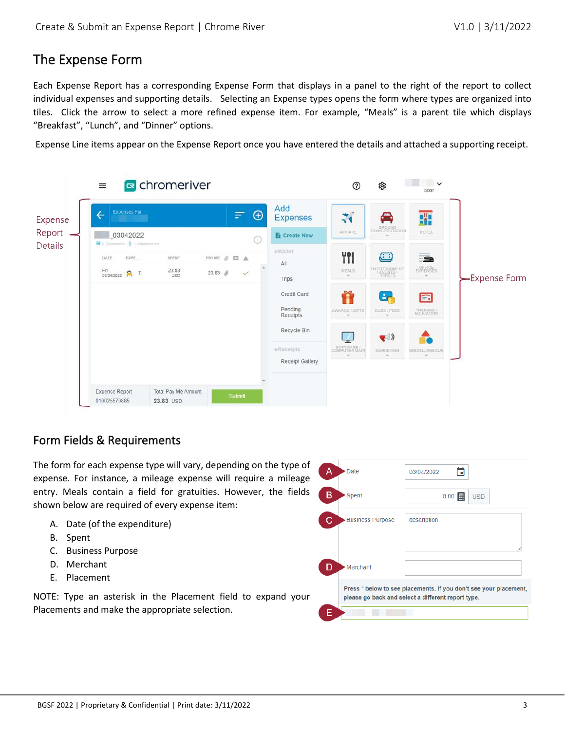### <span id="page-2-0"></span>The Expense Form

Each Expense Report has a corresponding Expense Form that displays in a panel to the right of the report to collect individual expenses and supporting details. Selecting an Expense types opens the form where types are organized into tiles. Click the arrow to select a more refined expense item. For example, "Meals" is a parent tile which displays "Breakfast", "Lunch", and "Dinner" options.

Expense Line items appear on the Expense Report once you have entered the details and attached a supporting receipt.



#### <span id="page-2-1"></span>Form Fields & Requirements

The form for each expense type will vary, depending on the type of expense. For instance, a mileage expense will require a mileage entry. Meals contain a field for gratuities. However, the fields shown below are required of every expense item:

- A. Date (of the expenditure)
- B. Spent
- C. Business Purpose
- D. Merchant
- E. Placement

NOTE: Type an asterisk in the Placement field to expand your Placements and make the appropriate selection.

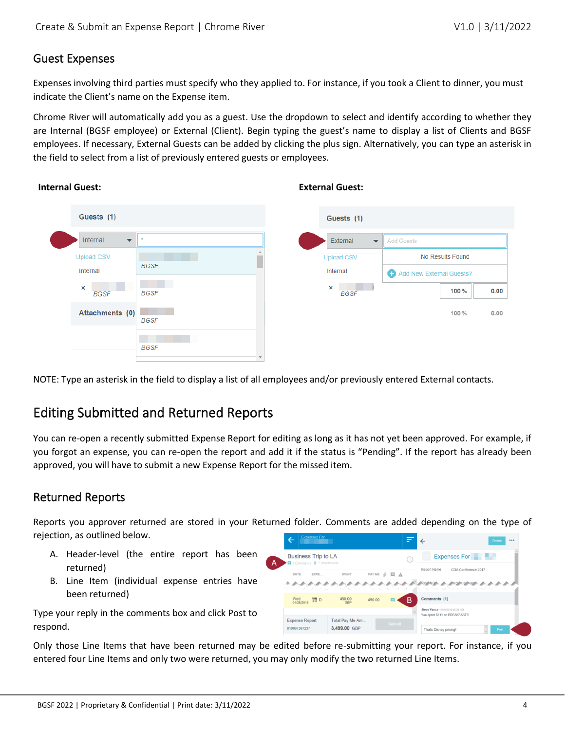#### <span id="page-3-0"></span>Guest Expenses

Expenses involving third parties must specify who they applied to. For instance, if you took a Client to dinner, you must indicate the Client's name on the Expense item.

Chrome River will automatically add you as a guest. Use the dropdown to select and identify according to whether they are Internal (BGSF employee) or External (Client). Begin typing the guest's name to display a list of Clients and BGSF employees. If necessary, External Guests can be added by clicking the plus sign. Alternatively, you can type an asterisk in the field to select from a list of previously entered guests or employees.

| Guests (1)                           |             | Guests (1)                          |                          |
|--------------------------------------|-------------|-------------------------------------|--------------------------|
| Internal<br>$\overline{\phantom{a}}$ |             | External<br>$\overline{\mathbf{v}}$ | Add Guests               |
| <b>Upload CSV</b>                    |             | <b>Upload CSV</b>                   | No Results Found         |
| Internal                             | <b>BGSF</b> | Internal                            | Add New External Guests? |
| $\times$<br><b>BGSF</b>              | <b>BGSF</b> | ×<br><b>BGSF</b>                    | 100%<br>0.00             |
| Attachments (0)                      | <b>BGSF</b> |                                     | 100%<br>0.00             |
|                                      | <b>BGSF</b> |                                     |                          |

#### **Internal Guest: External Guest:**

NOTE: Type an asterisk in the field to display a list of all employees and/or previously entered External contacts.

## <span id="page-3-1"></span>Editing Submitted and Returned Reports

You can re-open a recently submitted Expense Report for editing as long as it has not yet been approved. For example, if you forgot an expense, you can re-open the report and add it if the status is "Pending". If the report has already been approved, you will have to submit a new Expense Report for the missed item.

#### <span id="page-3-2"></span>Returned Reports

Reports you approver returned are stored in your Returned folder. Comments are added depending on the type of rejection, as outlined below.

- A. Header-level (the entire report has been returned)
- B. Line Item (individual expense entries have been returned)

Type your reply in the comments box and click Post to respond.

| <b>LARGING LAI</b>                                                |                 |                                              | - |                                                                   | $\cdots$<br><b>Delete</b> |
|-------------------------------------------------------------------|-----------------|----------------------------------------------|---|-------------------------------------------------------------------|---------------------------|
| <b>Business Trip to LA</b><br>□ 1 Comments <b>@</b> 7 Attachments |                 |                                              | Œ | Expenses For                                                      |                           |
| DATE<br>EXPE                                                      | <b>SPENT</b>    | PAY ME $\mathcal{O} \quad \Box \quad \Delta$ |   | <b>Report Name</b><br>CDA Conference 2017                         |                           |
|                                                                   |                 |                                              |   |                                                                   |                           |
| Wed<br><b>TI</b> D<br>01/28/2015                                  | 450.00<br>GBP   | 450.00                                       | В | Comments (1)                                                      |                           |
|                                                                   |                 |                                              |   | Steve Vance 11/10/2016 08:35 AM<br>You spent \$111 on BREAKFAST?I |                           |
| <b>Expense Report</b>                                             | Total Pay Me Am |                                              |   |                                                                   |                           |

Only those Line Items that have been returned may be edited before re-submitting your report. For instance, if you entered four Line Items and only two were returned, you may only modify the two returned Line Items.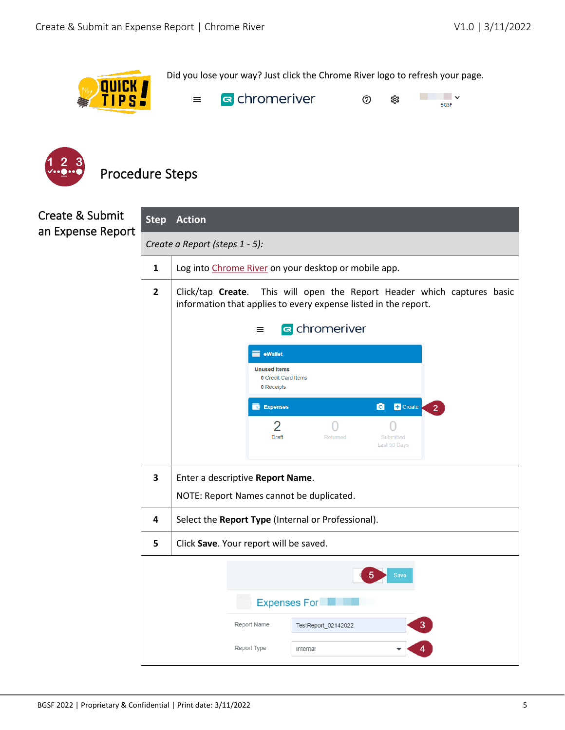

Did you lose your way? Just click the Chrome River logo to refresh your page.



<sup><</sup> chromeriver  $\overline{\phantom{a}}$ **College**  $^\circledR$ ශූ **BGSF** 

<span id="page-4-0"></span>

## <span id="page-4-1"></span>Create & Submit an Expense Report

<span id="page-4-2"></span>

| Create & Submit<br>an Expense Report | <b>Step</b>                    | <b>Action</b>                                                                                                                                 |  |  |  |  |
|--------------------------------------|--------------------------------|-----------------------------------------------------------------------------------------------------------------------------------------------|--|--|--|--|
|                                      | Create a Report (steps 1 - 5): |                                                                                                                                               |  |  |  |  |
|                                      | $\mathbf{1}$                   | Log into Chrome River on your desktop or mobile app.                                                                                          |  |  |  |  |
|                                      | $\overline{2}$                 | This will open the Report Header which captures basic<br>Click/tap Create.<br>information that applies to every expense listed in the report. |  |  |  |  |
|                                      |                                | s chromeriver<br>$\equiv$                                                                                                                     |  |  |  |  |
|                                      |                                | $\equiv$ eWallet<br><b>Unused Items</b>                                                                                                       |  |  |  |  |
|                                      |                                | <b>0</b> Credit Card Items<br><b>0</b> Receipts                                                                                               |  |  |  |  |
|                                      |                                | <b>O</b> + Create<br><b>Expenses</b><br>$\overline{2}$                                                                                        |  |  |  |  |
|                                      |                                | 2<br>Draft<br>Returned<br>Submitted<br>Last 90 Days                                                                                           |  |  |  |  |
|                                      |                                |                                                                                                                                               |  |  |  |  |
|                                      | $\overline{\mathbf{3}}$        | Enter a descriptive Report Name.                                                                                                              |  |  |  |  |
|                                      |                                | NOTE: Report Names cannot be duplicated.                                                                                                      |  |  |  |  |
|                                      | 4                              | Select the Report Type (Internal or Professional).                                                                                            |  |  |  |  |
|                                      | 5                              | Click Save. Your report will be saved.                                                                                                        |  |  |  |  |
|                                      |                                | <b>Save</b>                                                                                                                                   |  |  |  |  |
|                                      |                                | <b>Expenses For</b>                                                                                                                           |  |  |  |  |
|                                      |                                | Report Name<br>TestReport_02142022                                                                                                            |  |  |  |  |
|                                      |                                | Report Type<br>Internal                                                                                                                       |  |  |  |  |
|                                      |                                |                                                                                                                                               |  |  |  |  |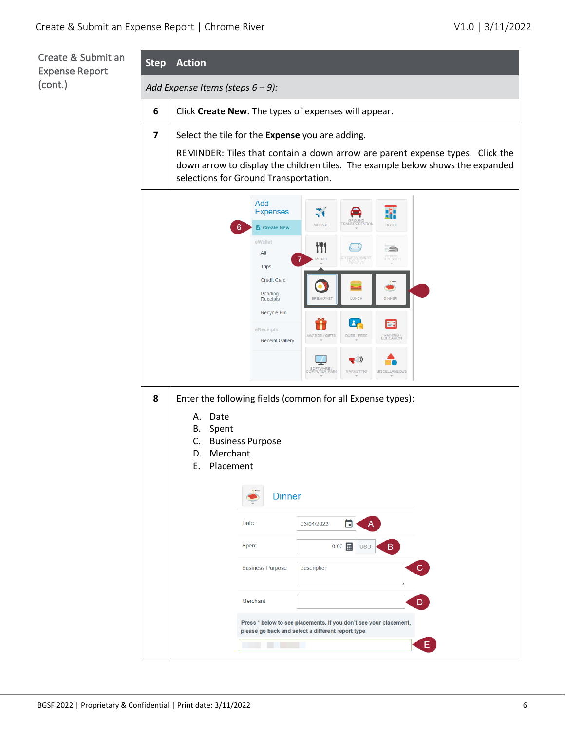<span id="page-5-0"></span>Create & S Expense Re (cont.)

| Submit an<br>eport | <b>Step</b>             | <b>Action</b>                                                        |                                                                                                                                                                                                                                                             |                                                                                                                                                                                                                                                                                                                                                                                                                                             |  |  |  |
|--------------------|-------------------------|----------------------------------------------------------------------|-------------------------------------------------------------------------------------------------------------------------------------------------------------------------------------------------------------------------------------------------------------|---------------------------------------------------------------------------------------------------------------------------------------------------------------------------------------------------------------------------------------------------------------------------------------------------------------------------------------------------------------------------------------------------------------------------------------------|--|--|--|
|                    |                         | Add Expense Items (steps 6 - 9):                                     |                                                                                                                                                                                                                                                             |                                                                                                                                                                                                                                                                                                                                                                                                                                             |  |  |  |
|                    | 6                       | Click Create New. The types of expenses will appear.                 |                                                                                                                                                                                                                                                             |                                                                                                                                                                                                                                                                                                                                                                                                                                             |  |  |  |
|                    | $\overline{\mathbf{z}}$ |                                                                      | Select the tile for the Expense you are adding.<br>REMINDER: Tiles that contain a down arrow are parent expense types. Click the<br>down arrow to display the children tiles. The example below shows the expanded<br>selections for Ground Transportation. |                                                                                                                                                                                                                                                                                                                                                                                                                                             |  |  |  |
|                    | 8                       | Date<br>А.<br>В.<br>Spent<br>C.<br>Merchant<br>D.<br>Placement<br>E. | Add<br><b>Expenses</b><br><b>Create New</b><br>eWallet<br>All<br><b>Trips</b><br><b>Credit Card</b><br>Pending<br>Receipts<br>Recycle Bin<br>eReceipts<br><b>Receipt Gallery</b><br><b>Business Purpose</b><br><b>Dinner</b>                                | 71<br>ä<br><b><i>FRANSPORTATION</i></b><br>AIRFARE<br><b>HOTEL</b><br>T?1<br>≘<br>OFFICE<br>EXPENSES<br><b>MEALS</b><br>ENTERTAINMENTS<br>LUNCH<br><b>DINNER</b><br><b>BREAKFAST</b><br>Åe<br>l=.<br>DUES / FEES<br>TRAINING /<br>EDUCATION<br><b>AWARDS / GIFTS</b><br>$\blacktriangledown$<br>ц.<br>SOFTWARE /<br>COMPUTER MAIN<br><b>MARKETING</b><br><b>MISCELLANEOUS</b><br>Enter the following fields (common for all Expense types): |  |  |  |
|                    |                         |                                                                      | Date                                                                                                                                                                                                                                                        | 03/04/2022                                                                                                                                                                                                                                                                                                                                                                                                                                  |  |  |  |
|                    |                         |                                                                      | Spent                                                                                                                                                                                                                                                       | B<br>$0.00$ =<br><b>USD</b>                                                                                                                                                                                                                                                                                                                                                                                                                 |  |  |  |
|                    |                         |                                                                      | <b>Business Purpose</b>                                                                                                                                                                                                                                     | $\mathbf{C}$<br>description                                                                                                                                                                                                                                                                                                                                                                                                                 |  |  |  |
|                    |                         |                                                                      | Merchant                                                                                                                                                                                                                                                    | D                                                                                                                                                                                                                                                                                                                                                                                                                                           |  |  |  |
|                    |                         |                                                                      |                                                                                                                                                                                                                                                             | Press * below to see placements. If you don't see your placement,<br>please go back and select a different report type.                                                                                                                                                                                                                                                                                                                     |  |  |  |
|                    |                         |                                                                      |                                                                                                                                                                                                                                                             | E.                                                                                                                                                                                                                                                                                                                                                                                                                                          |  |  |  |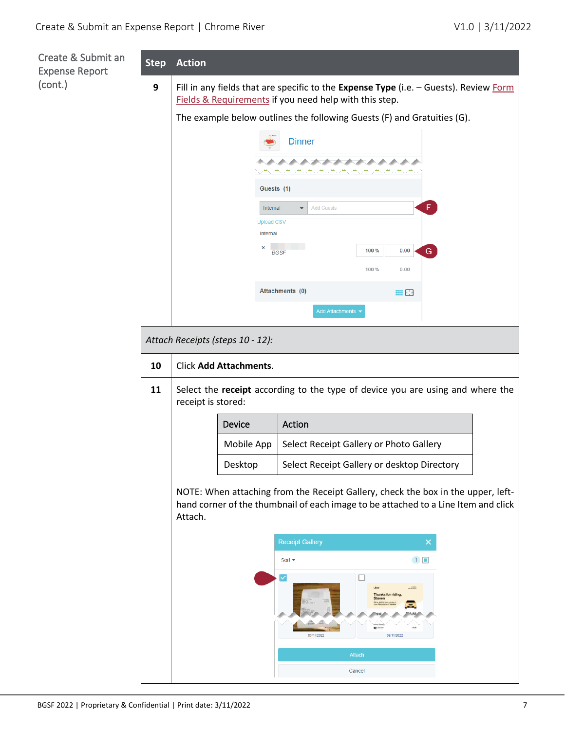<span id="page-6-0"></span>

| Create & Submit an<br><b>Expense Report</b> | <b>Step</b> | <b>Action</b>                                                                                                                                   |                               |                                               |                                                                                                                                                                        |  |  |  |
|---------------------------------------------|-------------|-------------------------------------------------------------------------------------------------------------------------------------------------|-------------------------------|-----------------------------------------------|------------------------------------------------------------------------------------------------------------------------------------------------------------------------|--|--|--|
| (cont.)                                     | 9           | Fill in any fields that are specific to the Expense Type (i.e. - Guests). Review Form<br>Fields & Requirements if you need help with this step. |                               |                                               |                                                                                                                                                                        |  |  |  |
|                                             |             | The example below outlines the following Guests (F) and Gratuities (G).                                                                         |                               |                                               |                                                                                                                                                                        |  |  |  |
|                                             |             |                                                                                                                                                 |                               | <b>Dinner</b>                                 |                                                                                                                                                                        |  |  |  |
|                                             |             |                                                                                                                                                 |                               | And the state of the state of the state of    |                                                                                                                                                                        |  |  |  |
|                                             |             |                                                                                                                                                 | Guests (1)                    |                                               |                                                                                                                                                                        |  |  |  |
|                                             |             |                                                                                                                                                 | Internal                      | <b>Add Guests</b><br>$\overline{\phantom{a}}$ | $\mathsf F$                                                                                                                                                            |  |  |  |
|                                             |             |                                                                                                                                                 | <b>Upload CSV</b><br>Internal |                                               |                                                                                                                                                                        |  |  |  |
|                                             |             |                                                                                                                                                 | ×                             | <b>BGSF</b>                                   | 100%<br>0.00<br>${\bf G}$                                                                                                                                              |  |  |  |
|                                             |             |                                                                                                                                                 |                               |                                               | 100%<br>0.00                                                                                                                                                           |  |  |  |
|                                             |             |                                                                                                                                                 |                               | Attachments (0)                               | 噩い                                                                                                                                                                     |  |  |  |
|                                             |             |                                                                                                                                                 |                               | Add Attachments                               |                                                                                                                                                                        |  |  |  |
|                                             |             | Attach Receipts (steps 10 - 12):                                                                                                                |                               |                                               |                                                                                                                                                                        |  |  |  |
|                                             | 10          |                                                                                                                                                 | <b>Click Add Attachments.</b> |                                               |                                                                                                                                                                        |  |  |  |
|                                             | 11          | Select the receipt according to the type of device you are using and where the<br>receipt is stored:                                            |                               |                                               |                                                                                                                                                                        |  |  |  |
|                                             |             |                                                                                                                                                 | Device                        | Action                                        |                                                                                                                                                                        |  |  |  |
|                                             |             |                                                                                                                                                 | Mobile App                    |                                               | Select Receipt Gallery or Photo Gallery                                                                                                                                |  |  |  |
|                                             |             |                                                                                                                                                 | Desktop                       |                                               | Select Receipt Gallery or desktop Directory                                                                                                                            |  |  |  |
|                                             |             | Attach.                                                                                                                                         |                               |                                               | NOTE: When attaching from the Receipt Gallery, check the box in the upper, left-<br>hand corner of the thumbnail of each image to be attached to a Line Item and click |  |  |  |
|                                             |             |                                                                                                                                                 |                               | <b>Receipt Gallery</b>                        | ×                                                                                                                                                                      |  |  |  |
|                                             |             |                                                                                                                                                 |                               | Sort $\blacktriangleright$                    | 1                                                                                                                                                                      |  |  |  |
|                                             |             |                                                                                                                                                 |                               | 03/11/2022                                    | Thanks for ridin<br>$\overline{\mathbf{a}}$ and<br>03/11/2022                                                                                                          |  |  |  |
|                                             |             |                                                                                                                                                 |                               |                                               | Attach<br>Cancel                                                                                                                                                       |  |  |  |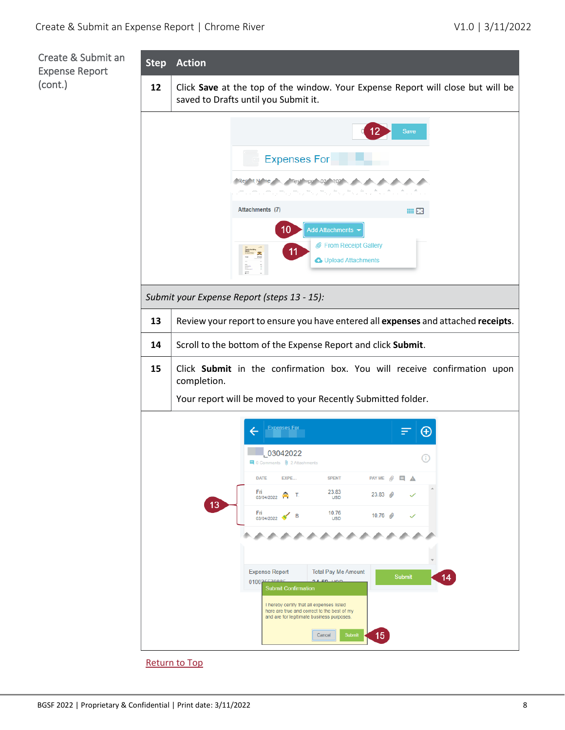<span id="page-7-0"></span>Create & Submit an Expense Report (cont.)



[Return to Top](#page-0-0)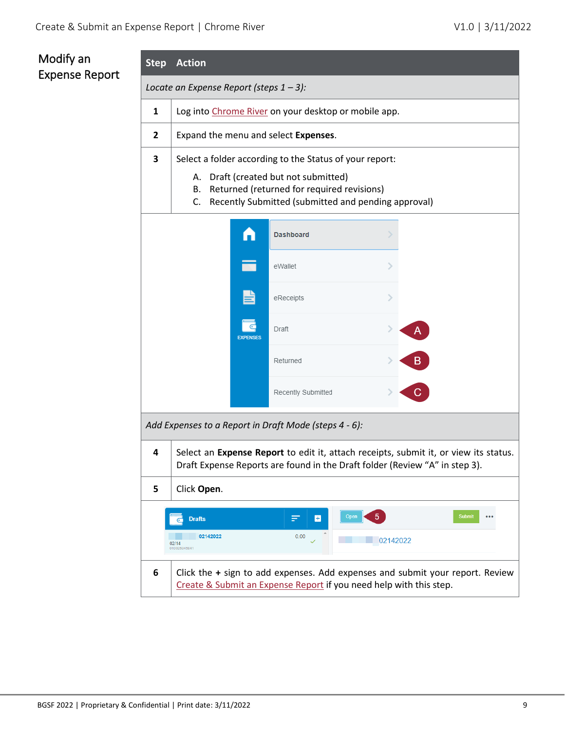## <span id="page-8-0"></span>Modify an Expense Report

<span id="page-8-2"></span><span id="page-8-1"></span>

| ivioùlly an<br><b>Expense Report</b> | <b>Step</b>                                           | Action                                                                                                                                                                                                        |                                                                    |                                                                                                                                                                     |  |  |  |  |
|--------------------------------------|-------------------------------------------------------|---------------------------------------------------------------------------------------------------------------------------------------------------------------------------------------------------------------|--------------------------------------------------------------------|---------------------------------------------------------------------------------------------------------------------------------------------------------------------|--|--|--|--|
|                                      | Locate an Expense Report (steps $1 - 3$ ):            |                                                                                                                                                                                                               |                                                                    |                                                                                                                                                                     |  |  |  |  |
|                                      | 1                                                     | Log into Chrome River on your desktop or mobile app.                                                                                                                                                          |                                                                    |                                                                                                                                                                     |  |  |  |  |
|                                      | $\overline{2}$                                        | Expand the menu and select Expenses.                                                                                                                                                                          |                                                                    |                                                                                                                                                                     |  |  |  |  |
|                                      | 3                                                     | Select a folder according to the Status of your report:<br>A. Draft (created but not submitted)<br>B. Returned (returned for required revisions)<br>Recently Submitted (submitted and pending approval)<br>C. |                                                                    |                                                                                                                                                                     |  |  |  |  |
|                                      |                                                       |                                                                                                                                                                                                               | <b>Dashboard</b>                                                   |                                                                                                                                                                     |  |  |  |  |
|                                      |                                                       |                                                                                                                                                                                                               | eWallet                                                            |                                                                                                                                                                     |  |  |  |  |
|                                      |                                                       |                                                                                                                                                                                                               | eReceipts                                                          |                                                                                                                                                                     |  |  |  |  |
|                                      |                                                       | <b>EXPENSES</b>                                                                                                                                                                                               | Draft                                                              |                                                                                                                                                                     |  |  |  |  |
|                                      |                                                       |                                                                                                                                                                                                               | Returned                                                           | $\mathbf{B}$                                                                                                                                                        |  |  |  |  |
|                                      |                                                       |                                                                                                                                                                                                               | Recently Submitted                                                 | $\overline{C}$                                                                                                                                                      |  |  |  |  |
|                                      | Add Expenses to a Report in Draft Mode (steps 4 - 6): |                                                                                                                                                                                                               |                                                                    |                                                                                                                                                                     |  |  |  |  |
|                                      | 4                                                     |                                                                                                                                                                                                               |                                                                    | Select an Expense Report to edit it, attach receipts, submit it, or view its status.<br>Draft Expense Reports are found in the Draft folder (Review "A" in step 3). |  |  |  |  |
|                                      | 5                                                     | Click Open.                                                                                                                                                                                                   |                                                                    |                                                                                                                                                                     |  |  |  |  |
|                                      |                                                       | <b>Drafts</b><br>02142022<br>02/14<br>010025345841                                                                                                                                                            | Open<br>≕<br>H<br>0.00                                             | Submit<br>$\bullet\bullet\bullet$<br>02142022                                                                                                                       |  |  |  |  |
|                                      | 6                                                     |                                                                                                                                                                                                               | Create & Submit an Expense Report if you need help with this step. | Click the + sign to add expenses. Add expenses and submit your report. Review                                                                                       |  |  |  |  |